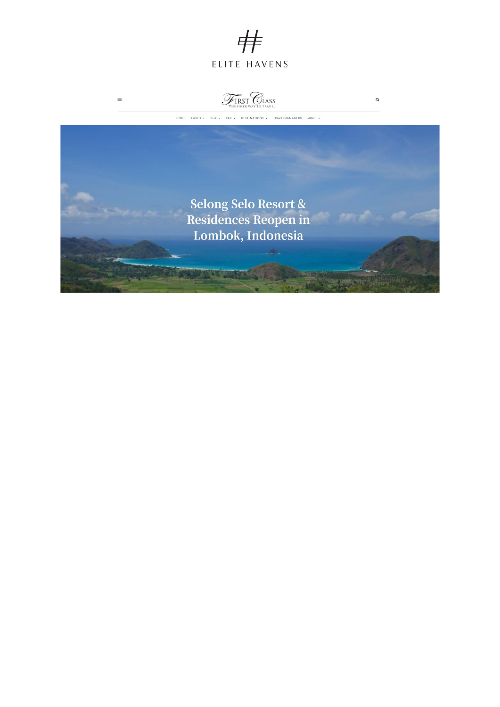



 $\equiv$ 

 $\alpha$ 

HOME EARTH v SEA v SKY v DESTINATIONS v TRAVELMANAGERS MORE v

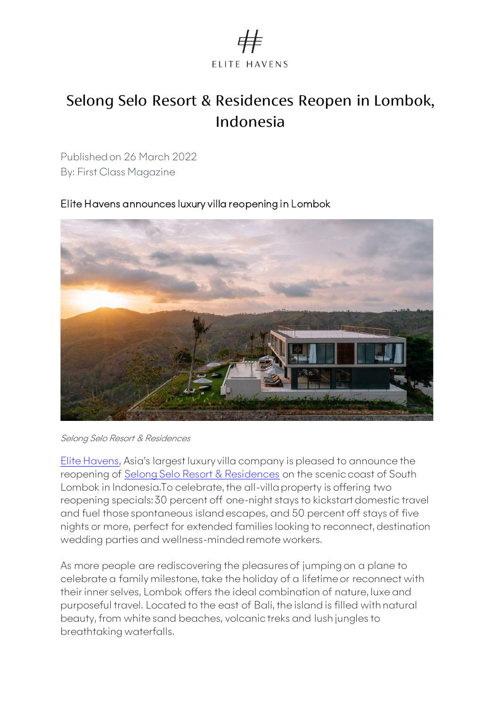

## Selong Selo Resort & Residences Reopen in Lombok, Indonesia

Published on 26 March 2022 By: First Class Magazine

Elite Havens announces luxury villa reopening in Lombok

[Elite Havens](http://www.elitehavens.com/), Asia's largest luxury villa company is pleased to announce the reopening of [Selong Selo Resort & Residences](https://www.selongselo.com/) on the scenic coast of South Lombok in Indonesia.To celebrate, the all-villa property is offering two reopening specials: 30 percent off one-night stays to kickstart domestic travel and fuel those spontaneous island escapes, and 50 percent off stays of five nights or more, perfect for extended families looking to reconnect, destination wedding parties and wellness-minded remote workers.

As more people are rediscovering the pleasures of jumping on a plane to celebrate a family milestone, take the holiday of a lifetime or reconnect with their inner selves, Lombok offers the ideal combination of nature, luxe and purposeful travel. Located to the east of Bali, the island is filled with natural beauty, from white sand beaches, volcanic treks and lush jungles to breathtaking waterfalls.

Selong Selo Resort & Residences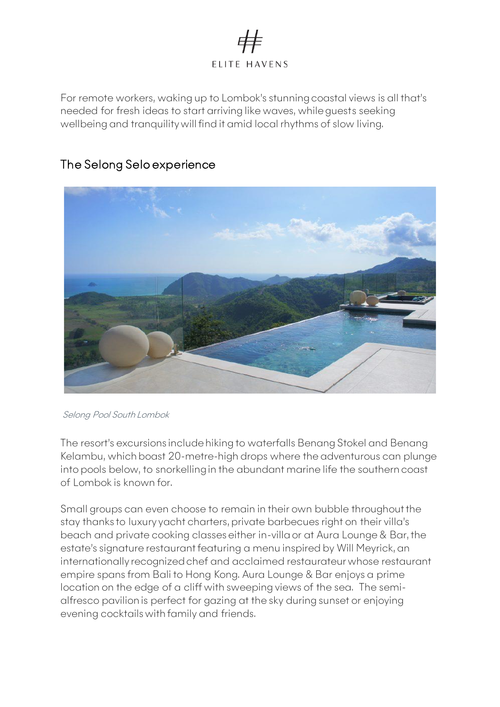

For remote workers, waking up to Lombok's stunning coastal views is all that's needed for fresh ideas to start arriving like waves, while guests seeking wellbeing and tranquility will find it amid local rhythms of slow living.



## The Selong Selo experience

Selong Pool South Lombok

The resort's excursions include hiking to waterfalls Benang Stokel and Benang Kelambu, which boast 20-metre-high drops where the adventurous can plunge into pools below, to snorkelling in the abundant marine life the southern coast of Lombok is known for.

Small groups can even choose to remain in their own bubble throughout the stay thanks to luxury yacht charters, private barbecues right on their villa's beach and private cooking classes either in-villa or at Aura Lounge & Bar, the estate's signature restaurant featuring a menu inspired by Will Meyrick, an internationally recognized chef and acclaimed restaurateur whose restaurant empire spans from Bali to Hong Kong. Aura Lounge & Bar enjoys a prime location on the edge of a cliff with sweeping views of the sea. The semialfresco pavilion is perfect for gazing at the sky during sunset or enjoying evening cocktails with family and friends.